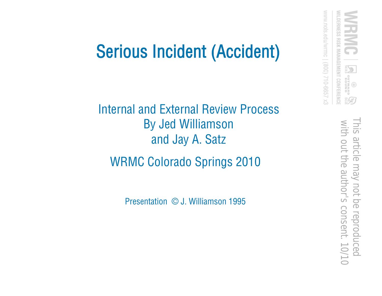### Serious Incident (Accident)

Internal and External Review Process By Jed Williamson and Jay A. Satz WRMC Colorado Springs 2010

Presentation © J. Williamson 1995

www.nols.edu/wrmc | (800) 710-6657 x3

*NILDERNESS RISK MANAGEMENT CONFERENCE* 

 $\mathbf{Z}_\mathrm{S}$ 

**GNAND**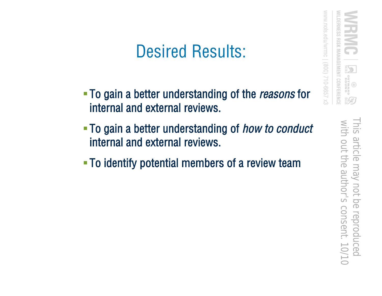#### Desired Results:

- To gain a better understanding of the *reasons* for internal and external reviews.
- To gain a better understanding of *how to conduct* internal and external reviews.
- To identify potential members of a review team

 with out the author's consent. 10/10This article may not be reproduced with out the author's consent. 10/10 This article may not be reproduced

www.nols.edu/wrmc

82 / 710-6657 x3

RISK MANAGEMENT CONFERENCE

**GNOSS**<br>CHAMATU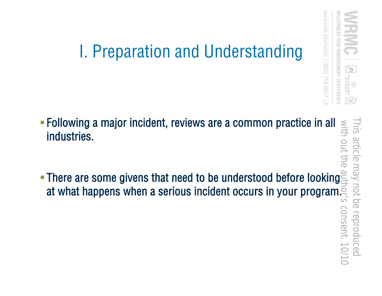

# I. Preparation and Understanding

 Following a major incident, reviews are a common practice in all industries. - Following a major incident, reviews are a common practice in all  $\frac{\text{S}}{\text{S}}$ <br>industries.<br>There are some givens that need to be understood before looking

at what happens when a serious incident occurs in your program.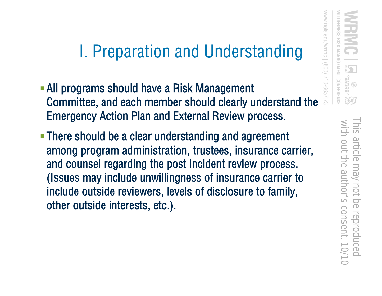### I. Preparation and Understanding

- /S00) 710-6657 All programs should have a Risk Management Committee, and each member should clearly understand the Emergency Action Plan and External Review process.
- **There should be a clear understanding and agreement** among program administration, trustees, insurance carrier, and counsel regarding the post incident review process. (Issues may include unwillingness of insurance carrier to include outside reviewers, levels of disclosure to family, other outside interests, etc.).

WWW.nols.edu/wrmc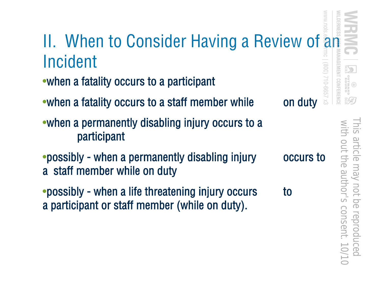

 with out the author's consent. 10/10This article may not be reproduced This article may not be reproduced with out the author's consent. 10/1

GEMENT CONFERENC

599-01/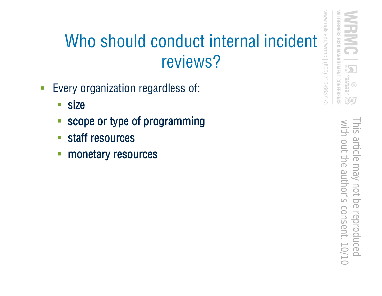## Who should conduct internal incident reviews?

- **Every organization regardless of:** 
	- size
	- scope or type of programming
	- staff resources
	- **monetary resources**

*NILDERNESS RISK MANAGEMENT CONFERENCE* WW.nols 82 / 710-6657 x3

 $\mathbb{Z}_3^5$ 

**GNATAS** 

 with out the author's consent. 10/10This article may not be reproduced with out the author's consent. 10/10 This article may not be reproduced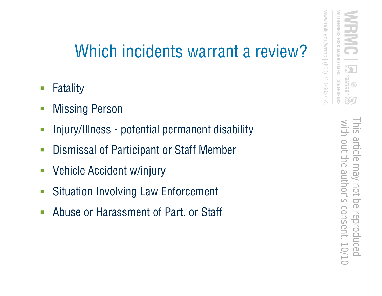#### Which incidents warrant a review?

- Fatality
- **Nissing Person**
- Injury/Illness potential permanent disability
- **Dismissal of Participant or Staff Member**
- Vehicle Accident w/injury
- Situation Involving Law Enforcement
- **Abuse or Harassment of Part. or Staff**

**GNOOS**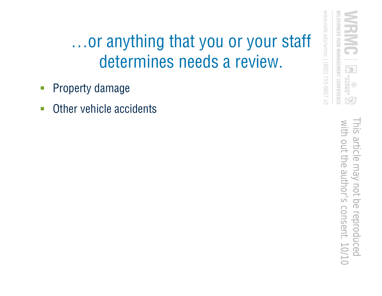### …or anything that you or your staff determines needs a review.

- Property damage
- **-** Other vehicle accidents

 with out the author's consent. 10/10This article may not be reproduced with out the author's consent. 10/10 This article may not be reproduced

www.nols.edu/wrmc | (800) 710-6657 x3

*NILDERNESS RISK MANAGEMENT CONFERENCE* 

**Expressions**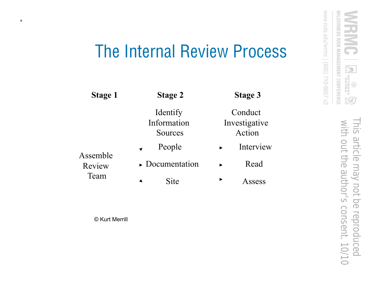#### The Internal Review Process

| <b>Stage 1</b>             | <b>Stage 2</b>                     | <b>Stage 3</b>                     |
|----------------------------|------------------------------------|------------------------------------|
| Assemble<br>Review<br>Team | Identify<br>Information<br>Sources | Conduct<br>Investigative<br>Action |
|                            | People                             | Interview                          |
|                            | $\triangleright$ Documentation     | Read                               |
|                            | Site                               | ▶<br>Assess                        |

© Kurt Merrill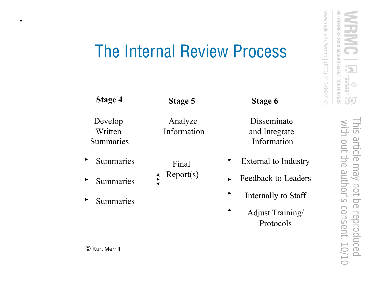E

**CHANTIC**<br>CHANTIC

80€

#### The Internal Review Process

Develop Written Summaries

Summaries

- Summaries
- Summaries  $\blacktriangleright$

**Stage 4 Stage 5 Stage 6** 

Analyze Information

Final

 $\frac{1}{2}$ 

▼

 $Report(s)$  Feedback to Leaders

Internally to Staff ▶

Disseminate

and Integrate Information

External to Industry

Adjust Training/ Protocols

© Kurt Merrill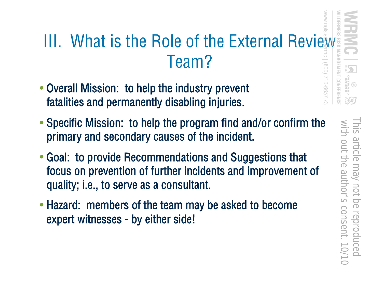### III. What is the Role of the External Review Team?

- Overall Mission: to help the industry prevent fatalities and permanently disabling injuries.
- Specific Mission: to help the program find and/or confirm the primary and secondary causes of the incident.
- Goal: to provide Recommendations and Suggestions that focus on prevention of further incidents and improvement of quality; i.e., to serve as a consultant.
- Hazard: members of the team may be asked to become expert witnesses - by either side!

EMENT CONFERENC

/999-012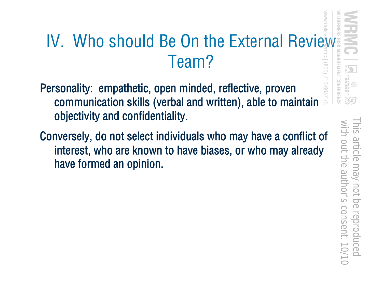### IV. Who should Be On the External Review Team?

- Personality: empathetic, open minded, reflective, proven communication skills (verbal and written), able to maintain objectivity and confidentiality.
- Conversely, do not select individuals who may have a conflict of interest, who are known to have biases, or who may already have formed an opinion.

 with out the author's consent. 10/10This article may not be reproduced This article may not be reproduced<br>with out the author's consent. 10/1

GEMENT CONFERENCI

 $599 - 01$ 

**GNATURO**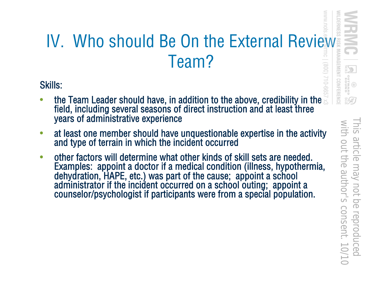## WWW.nols IV. Who should Be On the External Review<br>Team?<br>Kills:<br>The Team Leader should have, in addition to the above, credibility in the Team? S99-01/<sub>008</sub>)

Skills:

- $\bullet$  ) the Team Leader should have, in addition to the above, credibility in the  $\,$ field, including several seasons of direct instruction and at least three years of administrative experience
- at least one member should have unquestionable expertise in the activity and type of terrain in which the incident occurred
- other factors will determine what other kinds of skill sets are needed. Examples: appoint a doctor if a medical condition (illness, hypothermia, dehydration, HAPE, etc.) was part of the cause; appoint a school administrator if the incident occurred on a school outing; appoint a counselor/psychologist if participants were from a special population.

 with out the author's consent. 10/10This article may not be reproduced This article may not be reproduced with out the author's consent. 10/10

**GNALDS** 

 $8C$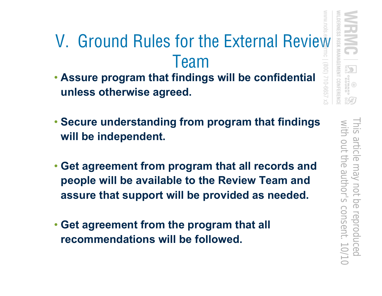## V. Ground Rules for the External Review Team

- **Assure program that findings will be confidential unless otherwise agreed.**
- **Secure understanding from program that findings will be independent.**
- **Get agreement from program that all records and people will be available to the Review Team and assure that support will be provided as needed.**
- **Get agreement from the program that all recommendations will be followed.**

**AGEMENT CONFERENC**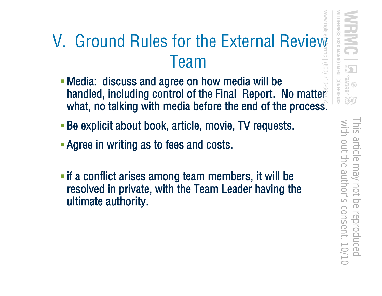### V. Ground Rules for the External Review Team

- Media: discuss and agree on how media will be handled, including control of the Final Report. No matter what, no talking with media before the end of the process.
- Be explicit about book, article, movie, TV requests.
- **Agree in writing as to fees and costs.**
- **Fif a conflict arises among team members, it will be** resolved in private, with the Team Leader having the ultimate authority.

 with out the author's consent. 10/10This article may not be reproduced with out the author's consent. 10/10 This article may not be reproduced

LDERNESS RISK MANAGEMENT CONFERENC

**GNATURD**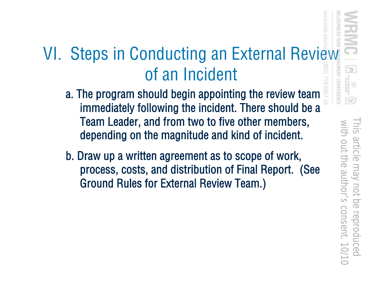## VI. Steps in Conducting an External Review of an Incident

- a. The program should begin appointing the review team immediately following the incident. There should be a Team Leader, and from two to five other members, depending on the magnitude and kind of incident.
- b. Draw up a written agreement as to scope of work, process, costs, and distribution of Final Report. (See Ground Rules for External Review Team.)

 with out the author's consent. 10/10This article may not be reproduced This article may not be reproduced<br>with out the author's consent. 10/1

MENT CONFERENCI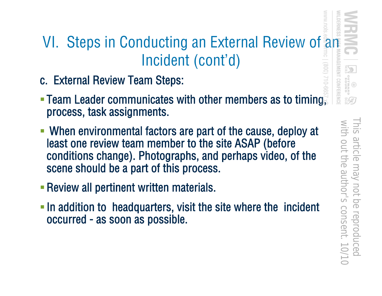#### VI. Steps in Conducting an External Review of an Incident (cont'd)

- c. External Review Team Steps:
- Team Leader communicates with other members as to timing, process, task assignments.
- When environmental factors are part of the cause, deploy at least one review team member to the site ASAP (before conditions change). Photographs, and perhaps video, of the scene should be a part of this process.
- Review all pertinent written materials.
- **In addition to headquarters, visit the site where the incident** occurred - as soon as possible.

**NT CONFERENC**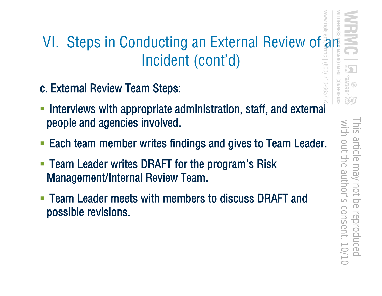#### VI. Steps in Conducting an External Review of an Incident (cont'd)

- c. External Review Team Steps:
- Interviews with appropriate administration, staff, and external people and agencies involved.
- Each team member writes findings and gives to Team Leader.
- **Team Leader writes DRAFT for the program's Risk** Management/Internal Review Team.
- Team Leader meets with members to discuss DRAFT and possible revisions.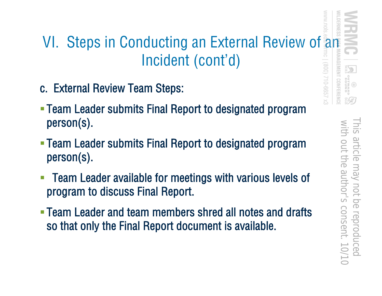## VI. Steps in Conducting an External Review of an Incident (cont'd) EMENT CONFERENC

- c. External Review Team Steps:
- Team Leader submits Final Report to designated program person(s).
- Team Leader submits Final Report to designated program person(s).
- Team Leader available for meetings with various levels of program to discuss Final Report.
- Team Leader and team members shred all notes and drafts so that only the Final Report document is available.

/999-012